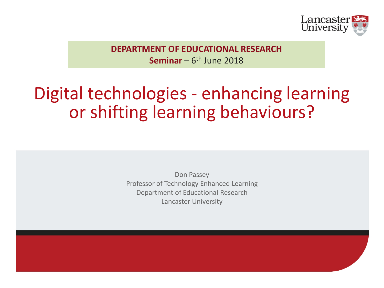

**DEPARTMENT OF EDUCATIONAL RESEARCH Seminar** –  $6<sup>th</sup>$  June 2018

### Digital technologies - enhancing learning or shifting learning behaviours?

Don Passey Professor of Technology Enhanced Learning Department of Educational Research Lancaster University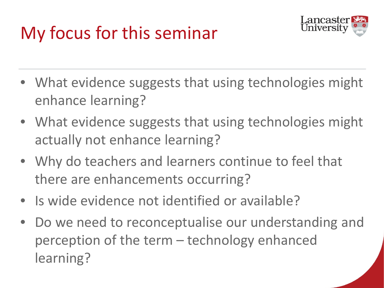# My focus for this seminar



- What evidence suggests that using technologies might enhance learning?
- What evidence suggests that using technologies might actually not enhance learning?
- Why do teachers and learners continue to feel that there are enhancements occurring?
- Is wide evidence not identified or available?
- Do we need to reconceptualise our understanding and perception of the term – technology enhanced learning?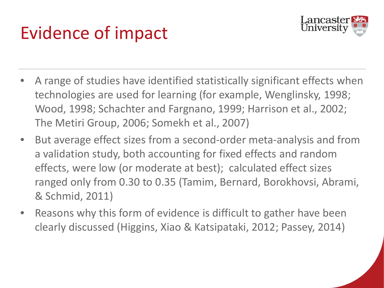# Evidence of impact



- A range of studies have identified statistically significant effects when technologies are used for learning (for example, Wenglinsky, 1998; Wood, 1998; Schachter and Fargnano, 1999; Harrison et al., 2002; The Metiri Group, 2006; Somekh et al., 2007)
- But average effect sizes from a second-order meta-analysis and from a validation study, both accounting for fixed effects and random effects, were low (or moderate at best); calculated effect sizes ranged only from 0.30 to 0.35 (Tamim, Bernard, Borokhovsi, Abrami, & Schmid, 2011)
- Reasons why this form of evidence is difficult to gather have been clearly discussed (Higgins, Xiao & Katsipataki, 2012; Passey, 2014)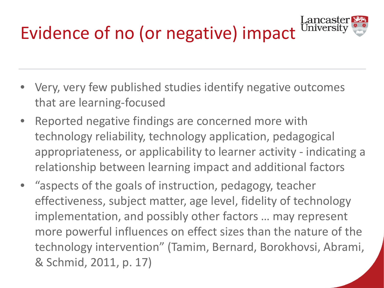

- Very, very few published studies identify negative outcomes that are learning-focused
- Reported negative findings are concerned more with technology reliability, technology application, pedagogical appropriateness, or applicability to learner activity - indicating a relationship between learning impact and additional factors
- "aspects of the goals of instruction, pedagogy, teacher effectiveness, subject matter, age level, fidelity of technology implementation, and possibly other factors … may represent more powerful influences on effect sizes than the nature of the technology intervention" (Tamim, Bernard, Borokhovsi, Abrami, & Schmid, 2011, p. 17)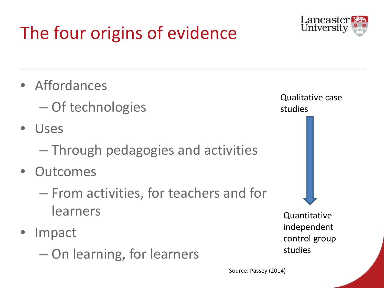# The four origins of evidence



• Affordances

– Of technologies

- Uses
	- Through pedagogies and activities
- **Outcomes** 
	- From activities, for teachers and for learners
- **Impact** 
	- On learning, for learners

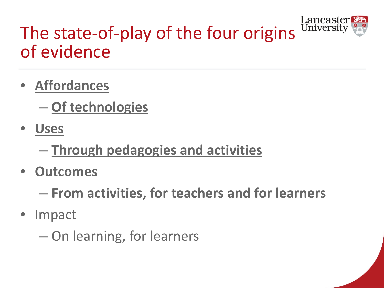

## The state-of-play of the four origins of evidence

• **Affordances**

– **Of technologies**

- **Uses**
	- **Through pedagogies and activities**
- **Outcomes**

– **From activities, for teachers and for learners**

• Impact

– On learning, for learners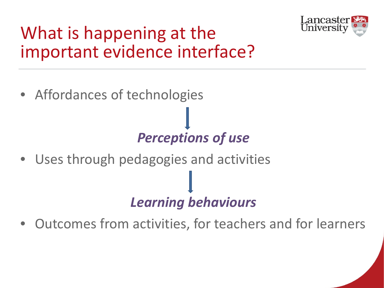

### What is happening at the important evidence interface?

• Affordances of technologies

#### *Perceptions of use*

• Uses through pedagogies and activities

#### *Learning behaviours*

• Outcomes from activities, for teachers and for learners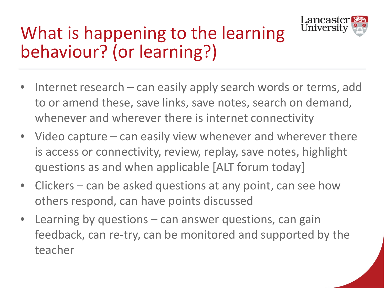

## What is happening to the learning behaviour? (or learning?)

- Internet research can easily apply search words or terms, add to or amend these, save links, save notes, search on demand, whenever and wherever there is internet connectivity
- Video capture can easily view whenever and wherever there is access or connectivity, review, replay, save notes, highlight questions as and when applicable [ALT forum today]
- Clickers can be asked questions at any point, can see how others respond, can have points discussed
- Learning by questions  $-$  can answer questions, can gain feedback, can re-try, can be monitored and supported by the teacher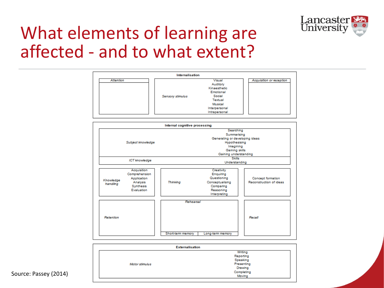

#### What elements of learning are affected - and to what extent?



| <b>Externalisation</b> |            |
|------------------------|------------|
|                        | Writing    |
|                        | Reporting  |
|                        | Speaking   |
| Motor stimulus         | Presenting |
|                        | Drawing    |
|                        | Completing |
|                        | Moving     |

#### Source: Passey (2014)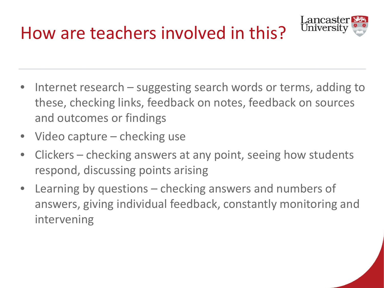How are teachers involved in this?



- Internet research suggesting search words or terms, adding to these, checking links, feedback on notes, feedback on sources and outcomes or findings
- Video capture checking use
- Clickers checking answers at any point, seeing how students respond, discussing points arising
- Learning by questions  $-$  checking answers and numbers of answers, giving individual feedback, constantly monitoring and intervening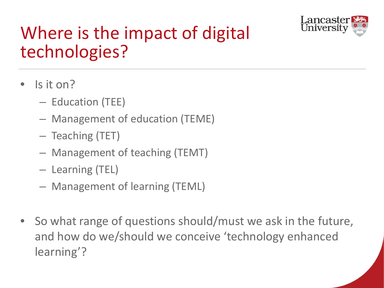

## Where is the impact of digital technologies?

- Is it on?
	- Education (TEE)
	- Management of education (TEME)
	- Teaching (TET)
	- Management of teaching (TEMT)
	- Learning (TEL)
	- Management of learning (TEML)
- So what range of questions should/must we ask in the future, and how do we/should we conceive 'technology enhanced learning'?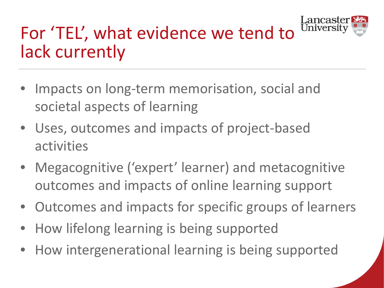

## For 'TEL', what evidence we tend to lack currently

- Impacts on long-term memorisation, social and societal aspects of learning
- Uses, outcomes and impacts of project-based activities
- Megacognitive ('expert' learner) and metacognitive outcomes and impacts of online learning support
- Outcomes and impacts for specific groups of learners
- How lifelong learning is being supported
- How intergenerational learning is being supported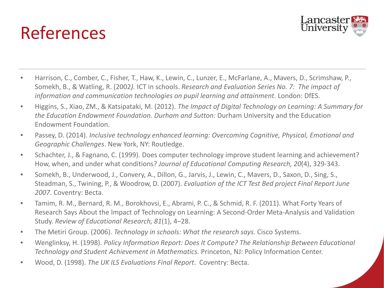# References



- Harrison, C., Comber, C., Fisher, T., Haw, K., Lewin, C., Lunzer, E., McFarlane, A., Mavers, D., Scrimshaw, P., Somekh, B., & Watling, R. (2002*).* ICT in schools. *Research and Evaluation Series No. 7: The impact of information and communication technologies on pupil learning and attainment*. London: DfES.
- Higgins, S., Xiao, ZM., & Katsipataki, M. (2012). *The Impact of Digital Technology on Learning: A Summary for the Education Endowment Foundation. Durham and Sutton:* Durham University and the Education Endowment Foundation.
- Passey, D. (2014). *Inclusive technology enhanced learning: Overcoming Cognitive, Physical, Emotional and Geographic Challenges*. New York, NY: Routledge.
- Schachter, J., & Fagnano, C. (1999). Does computer technology improve student learning and achievement? How, when, and under what conditions? *Journal of Educational Computing Research, 20*(4), 329-343.
- Somekh, B., Underwood, J., Convery, A., Dillon, G., Jarvis, J., Lewin, C., Mavers, D., Saxon, D., Sing, S., Steadman, S., Twining, P., & Woodrow, D. (2007). *Evaluation of the ICT Test Bed project Final Report June 2007*. Coventry: Becta.
- Tamim, R. M., Bernard, R. M., Borokhovsi, E., Abrami, P. C., & Schmid, R. F. (2011). What Forty Years of Research Says About the Impact of Technology on Learning: A Second-Order Meta-Analysis and Validation Study. *Review of Educational Research, 81*(1), 4–28.
- The Metiri Group. (2006). *Technology in schools: What the research says.* Cisco Systems.
- Wenglinksy, H. (1998). *Policy Information Report: Does It Compute? The Relationship Between Educational Technology and Student Achievement in Mathematics.* Princeton, NJ: Policy Information Center.
- Wood, D. (1998). *The UK ILS Evaluations Final Report*. Coventry: Becta.